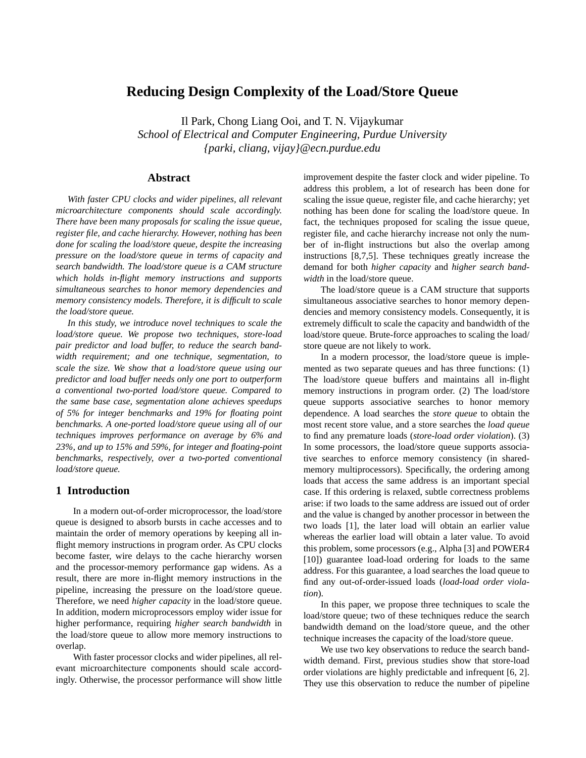# **Reducing Design Complexity of the Load/Store Queue**

Il Park, Chong Liang Ooi, and T. N. Vijaykumar *School of Electrical and Computer Engineering, Purdue University {parki, cliang, vijay}@ecn.purdue.edu*

# **Abstract**

*With faster CPU clocks and wider pipelines, all relevant microarchitecture components should scale accordingly. There have been many proposals for scaling the issue queue, register file, and cache hierarchy. However, nothing has been done for scaling the load/store queue, despite the increasing pressure on the load/store queue in terms of capacity and search bandwidth. The load/store queue is a CAM structure which holds in-flight memory instructions and supports simultaneous searches to honor memory dependencies and memory consistency models. Therefore, it is difficult to scale the load/store queue.*

*In this study, we introduce novel techniques to scale the load/store queue. We propose two techniques, store-load pair predictor and load buffer, to reduce the search bandwidth requirement; and one technique, segmentation, to scale the size. We show that a load/store queue using our predictor and load buffer needs only one port to outperform a conventional two-ported load/store queue. Compared to the same base case, segmentation alone achieves speedups of 5% for integer benchmarks and 19% for floating point benchmarks. A one-ported load/store queue using all of our techniques improves performance on average by 6% and 23%, and up to 15% and 59%, for integer and floating-point benchmarks, respectively, over a two-ported conventional load/store queue.*

# **1 Introduction**

In a modern out-of-order microprocessor, the load/store queue is designed to absorb bursts in cache accesses and to maintain the order of memory operations by keeping all inflight memory instructions in program order. As CPU clocks become faster, wire delays to the cache hierarchy worsen and the processor-memory performance gap widens. As a result, there are more in-flight memory instructions in the pipeline, increasing the pressure on the load/store queue. Therefore, we need *higher capacity* in the load/store queue. In addition, modern microprocessors employ wider issue for higher performance, requiring *higher search bandwidth* in the load/store queue to allow more memory instructions to overlap.

With faster processor clocks and wider pipelines, all relevant microarchitecture components should scale accordingly. Otherwise, the processor performance will show little improvement despite the faster clock and wider pipeline. To address this problem, a lot of research has been done for scaling the issue queue, register file, and cache hierarchy; yet nothing has been done for scaling the load/store queue. In fact, the techniques proposed for scaling the issue queue, register file, and cache hierarchy increase not only the number of in-flight instructions but also the overlap among instructions [8,7,5]. These techniques greatly increase the demand for both *higher capacity* and *higher search bandwidth* in the load/store queue.

The load/store queue is a CAM structure that supports simultaneous associative searches to honor memory dependencies and memory consistency models. Consequently, it is extremely difficult to scale the capacity and bandwidth of the load/store queue. Brute-force approaches to scaling the load/ store queue are not likely to work.

In a modern processor, the load/store queue is implemented as two separate queues and has three functions: (1) The load/store queue buffers and maintains all in-flight memory instructions in program order. (2) The load/store queue supports associative searches to honor memory dependence. A load searches the *store queue* to obtain the most recent store value, and a store searches the *load queue* to find any premature loads (*store-load order violation*). (3) In some processors, the load/store queue supports associative searches to enforce memory consistency (in sharedmemory multiprocessors). Specifically, the ordering among loads that access the same address is an important special case. If this ordering is relaxed, subtle correctness problems arise: if two loads to the same address are issued out of order and the value is changed by another processor in between the two loads [1], the later load will obtain an earlier value whereas the earlier load will obtain a later value. To avoid this problem, some processors (e.g., Alpha [3] and POWER4 [10]) guarantee load-load ordering for loads to the same address. For this guarantee, a load searches the load queue to find any out-of-order-issued loads (*load-load order violation*).

In this paper, we propose three techniques to scale the load/store queue; two of these techniques reduce the search bandwidth demand on the load/store queue, and the other technique increases the capacity of the load/store queue.

We use two key observations to reduce the search bandwidth demand. First, previous studies show that store-load order violations are highly predictable and infrequent [6, 2]. They use this observation to reduce the number of pipeline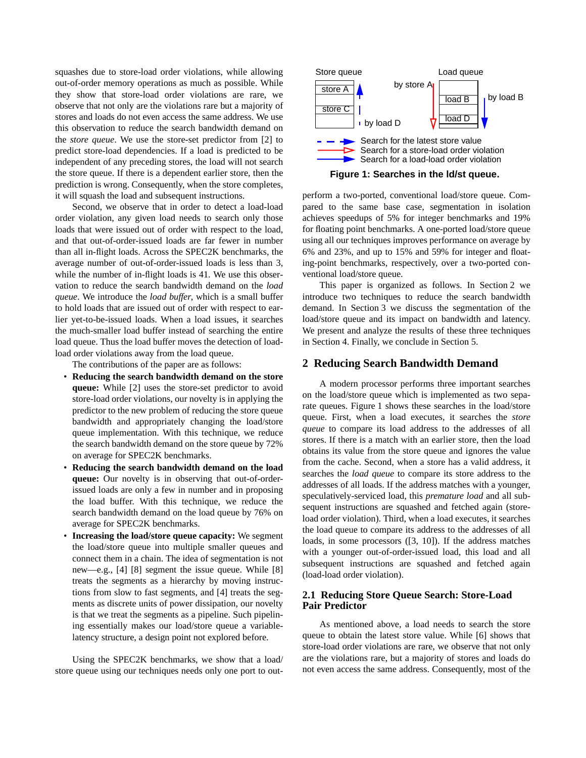squashes due to store-load order violations, while allowing out-of-order memory operations as much as possible. While they show that store-load order violations are rare, we observe that not only are the violations rare but a majority of stores and loads do not even access the same address. We use this observation to reduce the search bandwidth demand on the *store queue*. We use the store-set predictor from [2] to predict store-load dependencies. If a load is predicted to be independent of any preceding stores, the load will not search the store queue. If there is a dependent earlier store, then the prediction is wrong. Consequently, when the store completes, it will squash the load and subsequent instructions.

Second, we observe that in order to detect a load-load order violation, any given load needs to search only those loads that were issued out of order with respect to the load, and that out-of-order-issued loads are far fewer in number than all in-flight loads. Across the SPEC2K benchmarks, the average number of out-of-order-issued loads is less than 3, while the number of in-flight loads is 41. We use this observation to reduce the search bandwidth demand on the *load queue*. We introduce the *load buffer*, which is a small buffer to hold loads that are issued out of order with respect to earlier yet-to-be-issued loads. When a load issues, it searches the much-smaller load buffer instead of searching the entire load queue. Thus the load buffer moves the detection of loadload order violations away from the load queue.

The contributions of the paper are as follows:

- **Reducing the search bandwidth demand on the store queue:** While [2] uses the store-set predictor to avoid store-load order violations, our novelty is in applying the predictor to the new problem of reducing the store queue bandwidth and appropriately changing the load/store queue implementation. With this technique, we reduce the search bandwidth demand on the store queue by 72% on average for SPEC2K benchmarks.
- **Reducing the search bandwidth demand on the load queue:** Our novelty is in observing that out-of-orderissued loads are only a few in number and in proposing the load buffer. With this technique, we reduce the search bandwidth demand on the load queue by 76% on average for SPEC2K benchmarks.
- **Increasing the load/store queue capacity:** We segment the load/store queue into multiple smaller queues and connect them in a chain. The idea of segmentation is not new—e.g., [4] [8] segment the issue queue. While [8] treats the segments as a hierarchy by moving instructions from slow to fast segments, and [4] treats the segments as discrete units of power dissipation, our novelty is that we treat the segments as a pipeline. Such pipelining essentially makes our load/store queue a variablelatency structure, a design point not explored before.

Using the SPEC2K benchmarks, we show that a load/ store queue using our techniques needs only one port to out-



**Figure 1: Searches in the ld/st queue.**

<span id="page-1-1"></span>perform a two-ported, conventional load/store queue. Compared to the same base case, segmentation in isolation achieves speedups of 5% for integer benchmarks and 19% for floating point benchmarks. A one-ported load/store queue using all our techniques improves performance on average by 6% and 23%, and up to 15% and 59% for integer and floating-point benchmarks, respectively, over a two-ported conventional load/store queue.

This paper is organized as follows. In [Section 2](#page-1-0) we introduce two techniques to reduce the search bandwidth demand. In [Section 3](#page-5-0) we discuss the segmentation of the load/store queue and its impact on bandwidth and latency. We present and analyze the results of these three techniques in [Section 4.](#page-6-0) Finally, we conclude in [Section 5](#page-11-0).

# <span id="page-1-0"></span>**2 Reducing Search Bandwidth Demand**

A modern processor performs three important searches on the load/store queue which is implemented as two separate queues. [Figure 1](#page-1-1) shows these searches in the load/store queue. First, when a load executes, it searches the *store queue* to compare its load address to the addresses of all stores. If there is a match with an earlier store, then the load obtains its value from the store queue and ignores the value from the cache. Second, when a store has a valid address, it searches the *load queue* to compare its store address to the addresses of all loads. If the address matches with a younger, speculatively-serviced load, this *premature load* and all subsequent instructions are squashed and fetched again (storeload order violation). Third, when a load executes, it searches the load queue to compare its address to the addresses of all loads, in some processors ([3, 10]). If the address matches with a younger out-of-order-issued load, this load and all subsequent instructions are squashed and fetched again (load-load order violation).

# **2.1 Reducing Store Queue Search: Store-Load Pair Predictor**

As mentioned above, a load needs to search the store queue to obtain the latest store value. While [6] shows that store-load order violations are rare, we observe that not only are the violations rare, but a majority of stores and loads do not even access the same address. Consequently, most of the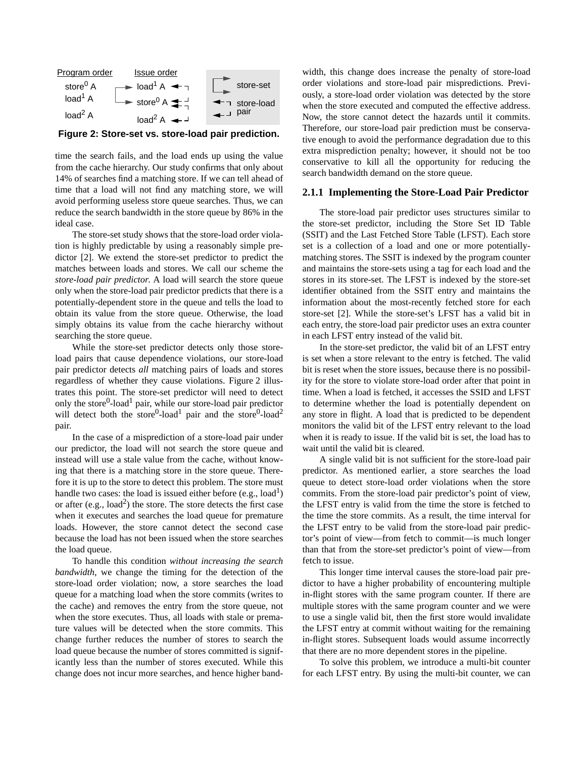

<span id="page-2-0"></span>**Figure 2: Store-set vs. store-load pair prediction.**

time the search fails, and the load ends up using the value from the cache hierarchy. Our study confirms that only about 14% of searches find a matching store. If we can tell ahead of time that a load will not find any matching store, we will avoid performing useless store queue searches. Thus, we can reduce the search bandwidth in the store queue by 86% in the ideal case.

The store-set study shows that the store-load order violation is highly predictable by using a reasonably simple predictor [2]. We extend the store-set predictor to predict the matches between loads and stores. We call our scheme the *store-load pair predictor*. A load will search the store queue only when the store-load pair predictor predicts that there is a potentially-dependent store in the queue and tells the load to obtain its value from the store queue. Otherwise, the load simply obtains its value from the cache hierarchy without searching the store queue.

While the store-set predictor detects only those storeload pairs that cause dependence violations, our store-load pair predictor detects *all* matching pairs of loads and stores regardless of whether they cause violations. [Figure 2](#page-2-0) illustrates this point. The store-set predictor will need to detect only the store $^0$ -load<sup>1</sup> pair, while our store-load pair predictor will detect both the store<sup>0</sup>-load<sup>1</sup> pair and the store<sup>0</sup>-load<sup>2</sup> pair.

In the case of a misprediction of a store-load pair under our predictor, the load will not search the store queue and instead will use a stale value from the cache, without knowing that there is a matching store in the store queue. Therefore it is up to the store to detect this problem. The store must handle two cases: the load is issued either before (e.g., load<sup>1</sup>) or after (e.g.,  $load^2$ ) the store. The store detects the first case when it executes and searches the load queue for premature loads. However, the store cannot detect the second case because the load has not been issued when the store searches the load queue.

To handle this condition *without increasing the search bandwidth*, we change the timing for the detection of the store-load order violation; now, a store searches the load queue for a matching load when the store commits (writes to the cache) and removes the entry from the store queue, not when the store executes. Thus, all loads with stale or premature values will be detected when the store commits. This change further reduces the number of stores to search the load queue because the number of stores committed is significantly less than the number of stores executed. While this change does not incur more searches, and hence higher bandwidth, this change does increase the penalty of store-load order violations and store-load pair mispredictions. Previously, a store-load order violation was detected by the store when the store executed and computed the effective address. Now, the store cannot detect the hazards until it commits. Therefore, our store-load pair prediction must be conservative enough to avoid the performance degradation due to this extra misprediction penalty; however, it should not be too conservative to kill all the opportunity for reducing the search bandwidth demand on the store queue.

#### **2.1.1 Implementing the Store-Load Pair Predictor**

The store-load pair predictor uses structures similar to the store-set predictor, including the Store Set ID Table (SSIT) and the Last Fetched Store Table (LFST). Each store set is a collection of a load and one or more potentiallymatching stores. The SSIT is indexed by the program counter and maintains the store-sets using a tag for each load and the stores in its store-set. The LFST is indexed by the store-set identifier obtained from the SSIT entry and maintains the information about the most-recently fetched store for each store-set [2]. While the store-set's LFST has a valid bit in each entry, the store-load pair predictor uses an extra counter in each LFST entry instead of the valid bit.

In the store-set predictor, the valid bit of an LFST entry is set when a store relevant to the entry is fetched. The valid bit is reset when the store issues, because there is no possibility for the store to violate store-load order after that point in time. When a load is fetched, it accesses the SSID and LFST to determine whether the load is potentially dependent on any store in flight. A load that is predicted to be dependent monitors the valid bit of the LFST entry relevant to the load when it is ready to issue. If the valid bit is set, the load has to wait until the valid bit is cleared.

A single valid bit is not sufficient for the store-load pair predictor. As mentioned earlier, a store searches the load queue to detect store-load order violations when the store commits. From the store-load pair predictor's point of view, the LFST entry is valid from the time the store is fetched to the time the store commits. As a result, the time interval for the LFST entry to be valid from the store-load pair predictor's point of view—from fetch to commit—is much longer than that from the store-set predictor's point of view—from fetch to issue.

This longer time interval causes the store-load pair predictor to have a higher probability of encountering multiple in-flight stores with the same program counter. If there are multiple stores with the same program counter and we were to use a single valid bit, then the first store would invalidate the LFST entry at commit without waiting for the remaining in-flight stores. Subsequent loads would assume incorrectly that there are no more dependent stores in the pipeline.

To solve this problem, we introduce a multi-bit counter for each LFST entry. By using the multi-bit counter, we can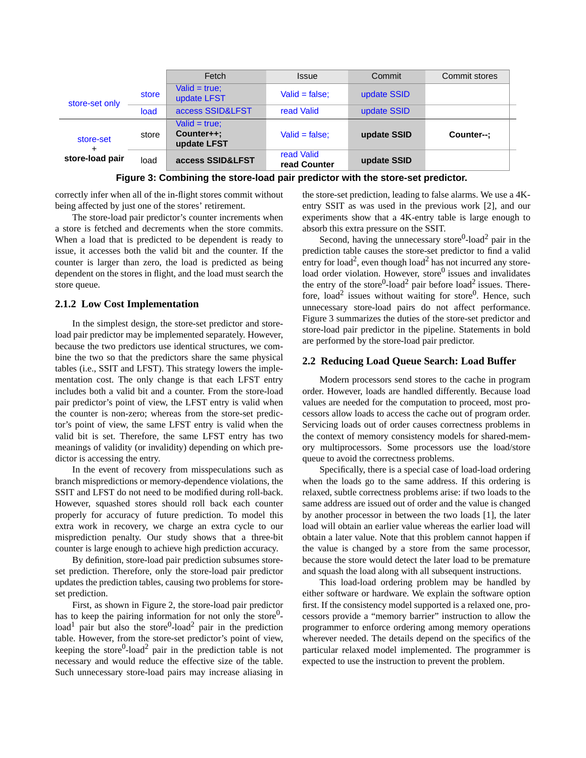|                                   |       | Fetch                                         | <b>Issue</b>               | Commit      | Commit stores |
|-----------------------------------|-------|-----------------------------------------------|----------------------------|-------------|---------------|
| store-set only                    | store | $Valid = true$<br>update LFST                 | Valid = $false$ ;          | update SSID |               |
|                                   | load  | access SSID&LFST                              | read Valid                 | update SSID |               |
| store-set<br>٠<br>store-load pair | store | Valid = $true$ :<br>Counter++:<br>update LFST | Valid = $false$ ;          | update SSID | Counter--:    |
|                                   | load  | access SSID&LFST                              | read Valid<br>read Counter | update SSID |               |

|  | Figure 3: Combining the store-load pair predictor with the store-set predictor. |
|--|---------------------------------------------------------------------------------|
|  |                                                                                 |

<span id="page-3-0"></span>correctly infer when all of the in-flight stores commit without being affected by just one of the stores' retirement.

The store-load pair predictor's counter increments when a store is fetched and decrements when the store commits. When a load that is predicted to be dependent is ready to issue, it accesses both the valid bit and the counter. If the counter is larger than zero, the load is predicted as being dependent on the stores in flight, and the load must search the store queue.

### **2.1.2 Low Cost Implementation**

In the simplest design, the store-set predictor and storeload pair predictor may be implemented separately. However, because the two predictors use identical structures, we combine the two so that the predictors share the same physical tables (i.e., SSIT and LFST). This strategy lowers the implementation cost. The only change is that each LFST entry includes both a valid bit and a counter. From the store-load pair predictor's point of view, the LFST entry is valid when the counter is non-zero; whereas from the store-set predictor's point of view, the same LFST entry is valid when the valid bit is set. Therefore, the same LFST entry has two meanings of validity (or invalidity) depending on which predictor is accessing the entry.

In the event of recovery from misspeculations such as branch mispredictions or memory-dependence violations, the SSIT and LFST do not need to be modified during roll-back. However, squashed stores should roll back each counter properly for accuracy of future prediction. To model this extra work in recovery, we charge an extra cycle to our misprediction penalty. Our study shows that a three-bit counter is large enough to achieve high prediction accuracy.

By definition, store-load pair prediction subsumes storeset prediction. Therefore, only the store-load pair predictor updates the prediction tables, causing two problems for storeset prediction.

First, as shown in [Figure 2,](#page-2-0) the store-load pair predictor has to keep the pairing information for not only the store<sup>0</sup>load<sup>1</sup> pair but also the store<sup>0</sup>-load<sup>2</sup> pair in the prediction table. However, from the store-set predictor's point of view, keeping the store<sup>0</sup>-load<sup>2</sup> pair in the prediction table is not necessary and would reduce the effective size of the table. Such unnecessary store-load pairs may increase aliasing in the store-set prediction, leading to false alarms. We use a 4Kentry SSIT as was used in the previous work [2], and our experiments show that a 4K-entry table is large enough to absorb this extra pressure on the SSIT.

Second, having the unnecessary store<sup>0</sup>-load<sup>2</sup> pair in the prediction table causes the store-set predictor to find a valid entry for load<sup>2</sup>, even though load<sup>2</sup> has not incurred any storeload order violation. However, store<sup>0</sup> issues and invalidates the entry of the store<sup>0</sup>-load<sup>2</sup> pair before load<sup>2</sup> issues. Therefore, load<sup>2</sup> issues without waiting for store<sup>0</sup>. Hence, such unnecessary store-load pairs do not affect performance. [Figure 3](#page-3-0) summarizes the duties of the store-set predictor and store-load pair predictor in the pipeline. Statements in bold are performed by the store-load pair predictor.

### **2.2 Reducing Load Queue Search: Load Buffer**

Modern processors send stores to the cache in program order. However, loads are handled differently. Because load values are needed for the computation to proceed, most processors allow loads to access the cache out of program order. Servicing loads out of order causes correctness problems in the context of memory consistency models for shared-memory multiprocessors. Some processors use the load/store queue to avoid the correctness problems.

Specifically, there is a special case of load-load ordering when the loads go to the same address. If this ordering is relaxed, subtle correctness problems arise: if two loads to the same address are issued out of order and the value is changed by another processor in between the two loads [1], the later load will obtain an earlier value whereas the earlier load will obtain a later value. Note that this problem cannot happen if the value is changed by a store from the same processor, because the store would detect the later load to be premature and squash the load along with all subsequent instructions.

This load-load ordering problem may be handled by either software or hardware. We explain the software option first. If the consistency model supported is a relaxed one, processors provide a "memory barrier" instruction to allow the programmer to enforce ordering among memory operations wherever needed. The details depend on the specifics of the particular relaxed model implemented. The programmer is expected to use the instruction to prevent the problem.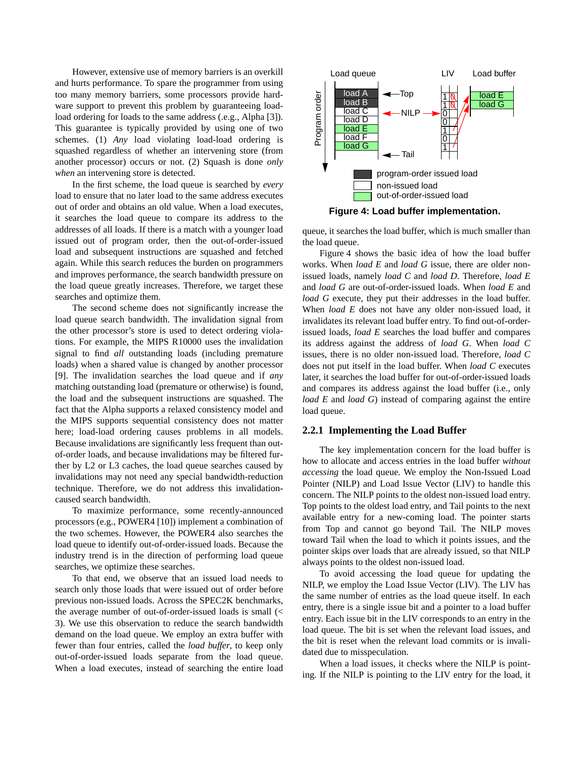However, extensive use of memory barriers is an overkill and hurts performance. To spare the programmer from using too many memory barriers, some processors provide hardware support to prevent this problem by guaranteeing loadload ordering for loads to the same address (.e.g., Alpha [3]). This guarantee is typically provided by using one of two schemes. (1) *Any* load violating load-load ordering is squashed regardless of whether an intervening store (from another processor) occurs or not. (2) Squash is done *only when* an intervening store is detected.

In the first scheme, the load queue is searched by *every* load to ensure that no later load to the same address executes out of order and obtains an old value. When a load executes, it searches the load queue to compare its address to the addresses of all loads. If there is a match with a younger load issued out of program order, then the out-of-order-issued load and subsequent instructions are squashed and fetched again. While this search reduces the burden on programmers and improves performance, the search bandwidth pressure on the load queue greatly increases. Therefore, we target these searches and optimize them.

The second scheme does not significantly increase the load queue search bandwidth. The invalidation signal from the other processor's store is used to detect ordering violations. For example, the MIPS R10000 uses the invalidation signal to find *all* outstanding loads (including premature loads) when a shared value is changed by another processor [9]. The invalidation searches the load queue and if *any* matching outstanding load (premature or otherwise) is found, the load and the subsequent instructions are squashed. The fact that the Alpha supports a relaxed consistency model and the MIPS supports sequential consistency does not matter here; load-load ordering causes problems in all models. Because invalidations are significantly less frequent than outof-order loads, and because invalidations may be filtered further by L2 or L3 caches, the load queue searches caused by invalidations may not need any special bandwidth-reduction technique. Therefore, we do not address this invalidationcaused search bandwidth.

To maximize performance, some recently-announced processors (e.g., POWER4 [10]) implement a combination of the two schemes. However, the POWER4 also searches the load queue to identify out-of-order-issued loads. Because the industry trend is in the direction of performing load queue searches, we optimize these searches.

To that end, we observe that an issued load needs to search only those loads that were issued out of order before previous non-issued loads. Across the SPEC2K benchmarks, the average number of out-of-order-issued loads is small (< 3). We use this observation to reduce the search bandwidth demand on the load queue. We employ an extra buffer with fewer than four entries, called the *load buffer*, to keep only out-of-order-issued loads separate from the load queue. When a load executes, instead of searching the entire load



**Figure 4: Load buffer implementation.**

<span id="page-4-0"></span>queue, it searches the load buffer, which is much smaller than the load queue.

[Figure 4](#page-4-0) shows the basic idea of how the load buffer works. When *load E* and *load G* issue, there are older nonissued loads, namely *load C* and *load D*. Therefore, *load E* and *load G* are out-of-order-issued loads. When *load E* and *load G* execute, they put their addresses in the load buffer. When *load E* does not have any older non-issued load, it invalidates its relevant load buffer entry. To find out-of-orderissued loads, *load E* searches the load buffer and compares its address against the address of *load G*. When *load C* issues, there is no older non-issued load. Therefore, *load C* does not put itself in the load buffer. When *load C* executes later, it searches the load buffer for out-of-order-issued loads and compares its address against the load buffer (i.e., only *load E* and *load G*) instead of comparing against the entire load queue.

### **2.2.1 Implementing the Load Buffer**

The key implementation concern for the load buffer is how to allocate and access entries in the load buffer *without accessing* the load queue. We employ the Non-Issued Load Pointer (NILP) and Load Issue Vector (LIV) to handle this concern. The NILP points to the oldest non-issued load entry. Top points to the oldest load entry, and Tail points to the next available entry for a new-coming load. The pointer starts from Top and cannot go beyond Tail. The NILP moves toward Tail when the load to which it points issues, and the pointer skips over loads that are already issued, so that NILP always points to the oldest non-issued load.

To avoid accessing the load queue for updating the NILP, we employ the Load Issue Vector (LIV). The LIV has the same number of entries as the load queue itself. In each entry, there is a single issue bit and a pointer to a load buffer entry. Each issue bit in the LIV corresponds to an entry in the load queue. The bit is set when the relevant load issues, and the bit is reset when the relevant load commits or is invalidated due to misspeculation.

When a load issues, it checks where the NILP is pointing. If the NILP is pointing to the LIV entry for the load, it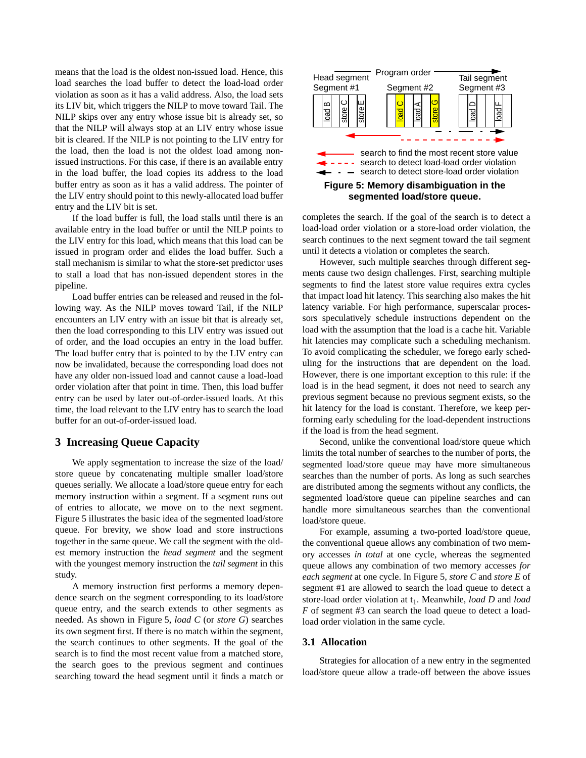means that the load is the oldest non-issued load. Hence, this load searches the load buffer to detect the load-load order violation as soon as it has a valid address. Also, the load sets its LIV bit, which triggers the NILP to move toward Tail. The NILP skips over any entry whose issue bit is already set, so that the NILP will always stop at an LIV entry whose issue bit is cleared. If the NILP is not pointing to the LIV entry for the load, then the load is not the oldest load among nonissued instructions. For this case, if there is an available entry in the load buffer, the load copies its address to the load buffer entry as soon as it has a valid address. The pointer of the LIV entry should point to this newly-allocated load buffer entry and the LIV bit is set.

If the load buffer is full, the load stalls until there is an available entry in the load buffer or until the NILP points to the LIV entry for this load, which means that this load can be issued in program order and elides the load buffer. Such a stall mechanism is similar to what the store-set predictor uses to stall a load that has non-issued dependent stores in the pipeline.

Load buffer entries can be released and reused in the following way. As the NILP moves toward Tail, if the NILP encounters an LIV entry with an issue bit that is already set, then the load corresponding to this LIV entry was issued out of order, and the load occupies an entry in the load buffer. The load buffer entry that is pointed to by the LIV entry can now be invalidated, because the corresponding load does not have any older non-issued load and cannot cause a load-load order violation after that point in time. Then, this load buffer entry can be used by later out-of-order-issued loads. At this time, the load relevant to the LIV entry has to search the load buffer for an out-of-order-issued load.

# <span id="page-5-0"></span>**3 Increasing Queue Capacity**

We apply segmentation to increase the size of the load/ store queue by concatenating multiple smaller load/store queues serially. We allocate a load/store queue entry for each memory instruction within a segment. If a segment runs out of entries to allocate, we move on to the next segment. [Figure 5](#page-5-1) illustrates the basic idea of the segmented load/store queue. For brevity, we show load and store instructions together in the same queue. We call the segment with the oldest memory instruction the *head segment* and the segment with the youngest memory instruction the *tail segment* in this study.

A memory instruction first performs a memory dependence search on the segment corresponding to its load/store queue entry, and the search extends to other segments as needed. As shown in [Figure 5,](#page-5-1) *load C* (or *store G*) searches its own segment first. If there is no match within the segment, the search continues to other segments. If the goal of the search is to find the most recent value from a matched store, the search goes to the previous segment and continues searching toward the head segment until it finds a match or



**segmented load/store queue.**

<span id="page-5-1"></span>completes the search. If the goal of the search is to detect a load-load order violation or a store-load order violation, the search continues to the next segment toward the tail segment until it detects a violation or completes the search.

However, such multiple searches through different segments cause two design challenges. First, searching multiple segments to find the latest store value requires extra cycles that impact load hit latency. This searching also makes the hit latency variable. For high performance, superscalar processors speculatively schedule instructions dependent on the load with the assumption that the load is a cache hit. Variable hit latencies may complicate such a scheduling mechanism. To avoid complicating the scheduler, we forego early scheduling for the instructions that are dependent on the load. However, there is one important exception to this rule: if the load is in the head segment, it does not need to search any previous segment because no previous segment exists, so the hit latency for the load is constant. Therefore, we keep performing early scheduling for the load-dependent instructions if the load is from the head segment.

Second, unlike the conventional load/store queue which limits the total number of searches to the number of ports, the segmented load/store queue may have more simultaneous searches than the number of ports. As long as such searches are distributed among the segments without any conflicts, the segmented load/store queue can pipeline searches and can handle more simultaneous searches than the conventional load/store queue.

For example, assuming a two-ported load/store queue, the conventional queue allows any combination of two memory accesses *in total* at one cycle, whereas the segmented queue allows any combination of two memory accesses *for each segment* at one cycle. In [Figure 5,](#page-5-1) *store C* and *store E* of segment #1 are allowed to search the load queue to detect a store-load order violation at t<sub>1</sub>. Meanwhile, *load D* and *load F* of segment #3 can search the load queue to detect a loadload order violation in the same cycle.

# <span id="page-5-2"></span>**3.1 Allocation**

Strategies for allocation of a new entry in the segmented load/store queue allow a trade-off between the above issues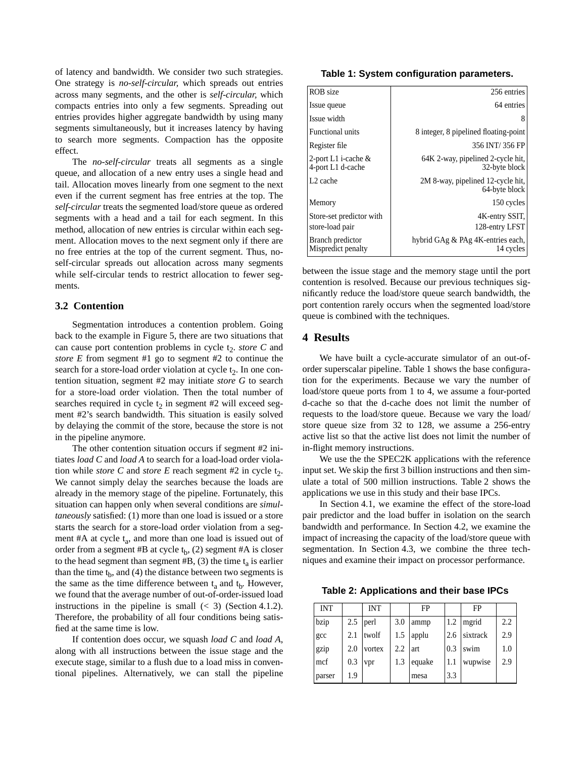of latency and bandwidth. We consider two such strategies. One strategy is *no-self-circular,* which spreads out entries across many segments, and the other is *self-circular,* which compacts entries into only a few segments. Spreading out entries provides higher aggregate bandwidth by using many segments simultaneously, but it increases latency by having to search more segments. Compaction has the opposite effect.

The *no-self-circular* treats all segments as a single queue, and allocation of a new entry uses a single head and tail. Allocation moves linearly from one segment to the next even if the current segment has free entries at the top. The *self-circular* treats the segmented load/store queue as ordered segments with a head and a tail for each segment. In this method, allocation of new entries is circular within each segment. Allocation moves to the next segment only if there are no free entries at the top of the current segment. Thus, noself-circular spreads out allocation across many segments while self-circular tends to restrict allocation to fewer segments.

# **3.2 Contention**

Segmentation introduces a contention problem. Going back to the example in [Figure 5](#page-5-1), there are two situations that can cause port contention problems in cycle t<sub>2</sub>. *store C* and *store E* from segment #1 go to segment #2 to continue the search for a store-load order violation at cycle  $t<sub>2</sub>$ . In one contention situation, segment #2 may initiate *store G* to search for a store-load order violation. Then the total number of searches required in cycle  $t_2$  in segment #2 will exceed segment #2's search bandwidth. This situation is easily solved by delaying the commit of the store, because the store is not in the pipeline anymore.

The other contention situation occurs if segment #2 initiates *load C* and *load A* to search for a load-load order violation while *store* C and *store* E reach segment  $#2$  in cycle  $t_2$ . We cannot simply delay the searches because the loads are already in the memory stage of the pipeline. Fortunately, this situation can happen only when several conditions are *simultaneously* satisfied: (1) more than one load is issued or a store starts the search for a store-load order violation from a segment  $#A$  at cycle  $t_a$ , and more than one load is issued out of order from a segment #B at cycle  $t<sub>b</sub>$ , (2) segment #A is closer to the head segment than segment  $#B$ , (3) the time  $t_a$  is earlier than the time  $t<sub>b</sub>$ , and (4) the distance between two segments is the same as the time difference between  $t_a$  and  $t_b$ . However, we found that the average number of out-of-order-issued load instructions in the pipeline is small  $\ll$  3) [\(Section 4.1.2](#page-8-0)). Therefore, the probability of all four conditions being satisfied at the same time is low.

If contention does occur, we squash *load C* and *load A*, along with all instructions between the issue stage and the execute stage, similar to a flush due to a load miss in conventional pipelines. Alternatively, we can stall the pipeline

#### **Table 1: System configuration parameters.**

<span id="page-6-1"></span>

| ROB size                                    | 256 entries                                        |
|---------------------------------------------|----------------------------------------------------|
| Issue queue                                 | 64 entries                                         |
| Issue width                                 |                                                    |
| Functional units                            | 8 integer, 8 pipelined floating-point              |
| Register file                               | 356 INT/356 FP                                     |
| 2-port L1 i-cache $\&$<br>4-port L1 d-cache | 64K 2-way, pipelined 2-cycle hit,<br>32-byte block |
| L <sub>2</sub> cache                        | 2M 8-way, pipelined 12-cycle hit,<br>64-byte block |
| Memory                                      | 150 cycles                                         |
| Store-set predictor with<br>store-load pair | 4K-entry SSIT,<br>128-entry LFST                   |
| Branch predictor<br>Mispredict penalty      | hybrid GAg & PAg 4K-entries each,<br>14 cycles     |

between the issue stage and the memory stage until the port contention is resolved. Because our previous techniques significantly reduce the load/store queue search bandwidth, the port contention rarely occurs when the segmented load/store queue is combined with the techniques.

# <span id="page-6-0"></span>**4 Results**

We have built a cycle-accurate simulator of an out-oforder superscalar pipeline. [Table 1](#page-6-1) shows the base configuration for the experiments. Because we vary the number of load/store queue ports from 1 to 4, we assume a four-ported d-cache so that the d-cache does not limit the number of requests to the load/store queue. Because we vary the load/ store queue size from 32 to 128, we assume a 256-entry active list so that the active list does not limit the number of in-flight memory instructions.

We use the the SPEC2K applications with the reference input set. We skip the first 3 billion instructions and then simulate a total of 500 million instructions. [Table 2](#page-6-2) shows the applications we use in this study and their base IPCs.

In [Section 4.1,](#page-7-0) we examine the effect of the store-load pair predictor and the load buffer in isolation on the search bandwidth and performance. In [Section 4.2,](#page-9-0) we examine the impact of increasing the capacity of the load/store queue with segmentation. In [Section 4.3,](#page-10-0) we combine the three techniques and examine their impact on processor performance.

**Table 2: Applications and their base IPCs**

<span id="page-6-2"></span>

| <b>INT</b> |     | <b>INT</b> |     | FP     |      | FP       |     |
|------------|-----|------------|-----|--------|------|----------|-----|
| bzip       | 2.5 | perl       | 3.0 | ammp   | 1.2  | mgrid    | 2.2 |
| gcc        | 2.1 | twolf      | 1.5 | applu  | 2.6  | sixtrack | 2.9 |
| gzip       | 2.0 | vortex     | 2.2 | art    | 10.3 | swim     | 1.0 |
| mcf        | 0.3 | vpr        | 1.3 | equake | 1.1  | wupwise  | 2.9 |
| parser     | 1.9 |            |     | mesa   | 3.3  |          |     |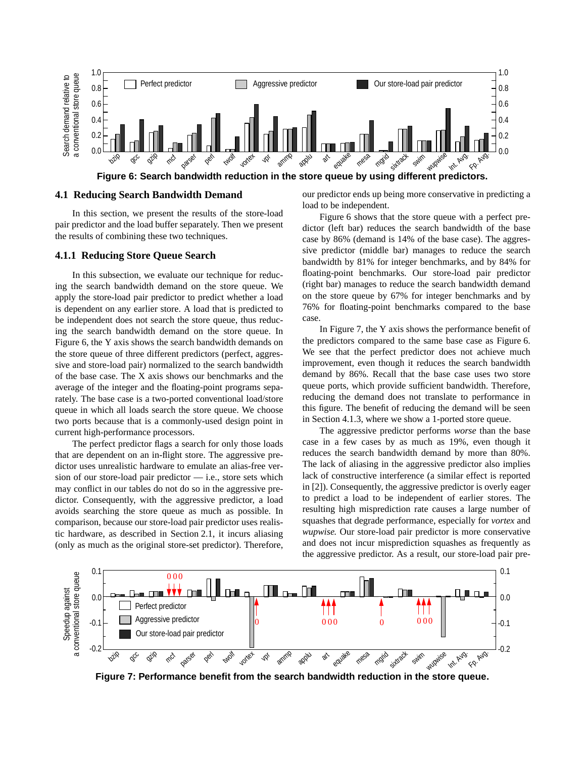

**Figure 6: Search bandwidth reduction in the store queue by using different predictors.**

# <span id="page-7-1"></span><span id="page-7-0"></span>**4.1 Reducing Search Bandwidth Demand**

In this section, we present the results of the store-load pair predictor and the load buffer separately. Then we present the results of combining these two techniques.

### **4.1.1 Reducing Store Queue Search**

In this subsection, we evaluate our technique for reducing the search bandwidth demand on the store queue. We apply the store-load pair predictor to predict whether a load is dependent on any earlier store. A load that is predicted to be independent does not search the store queue, thus reducing the search bandwidth demand on the store queue. In [Figure 6](#page-7-1), the Y axis shows the search bandwidth demands on the store queue of three different predictors (perfect, aggressive and store-load pair) normalized to the search bandwidth of the base case. The X axis shows our benchmarks and the average of the integer and the floating-point programs separately. The base case is a two-ported conventional load/store queue in which all loads search the store queue. We choose two ports because that is a commonly-used design point in current high-performance processors.

The perfect predictor flags a search for only those loads that are dependent on an in-flight store. The aggressive predictor uses unrealistic hardware to emulate an alias-free version of our store-load pair predictor — i.e., store sets which may conflict in our tables do not do so in the aggressive predictor. Consequently, with the aggressive predictor, a load avoids searching the store queue as much as possible. In comparison, because our store-load pair predictor uses realistic hardware, as described in Section 2.1, it incurs aliasing (only as much as the original store-set predictor). Therefore,

our predictor ends up being more conservative in predicting a load to be independent.

Figure 6 shows that the store queue with a perfect predictor (left bar) reduces the search bandwidth of the base case by 86% (demand is 14% of the base case). The aggressive predictor (middle bar) manages to reduce the search bandwidth by 81% for integer benchmarks, and by 84% for floating-point benchmarks. Our store-load pair predictor (right bar) manages to reduce the search bandwidth demand on the store queue by 67% for integer benchmarks and by 76% for floating-point benchmarks compared to the base case.

In [Figure 7](#page-7-2), the Y axis shows the performance benefit of the predictors compared to the same base case as [Figure 6.](#page-7-1) We see that the perfect predictor does not achieve much improvement, even though it reduces the search bandwidth demand by 86%. Recall that the base case uses two store queue ports, which provide sufficient bandwidth. Therefore, reducing the demand does not translate to performance in this figure. The benefit of reducing the demand will be seen in [Section 4.1.3](#page-9-1), where we show a 1-ported store queue.

The aggressive predictor performs *worse* than the base case in a few cases by as much as 19%, even though it reduces the search bandwidth demand by more than 80%. The lack of aliasing in the aggressive predictor also implies lack of constructive interference (a similar effect is reported in [2]). Consequently, the aggressive predictor is overly eager to predict a load to be independent of earlier stores. The resulting high misprediction rate causes a large number of squashes that degrade performance, especially for *vortex* and *wupwise.* Our store-load pair predictor is more conservative and does not incur misprediction squashes as frequently as the aggressive predictor. As a result, our store-load pair pre-



<span id="page-7-2"></span>**Figure 7: Performance benefit from the search bandwidth reduction in the store queue.**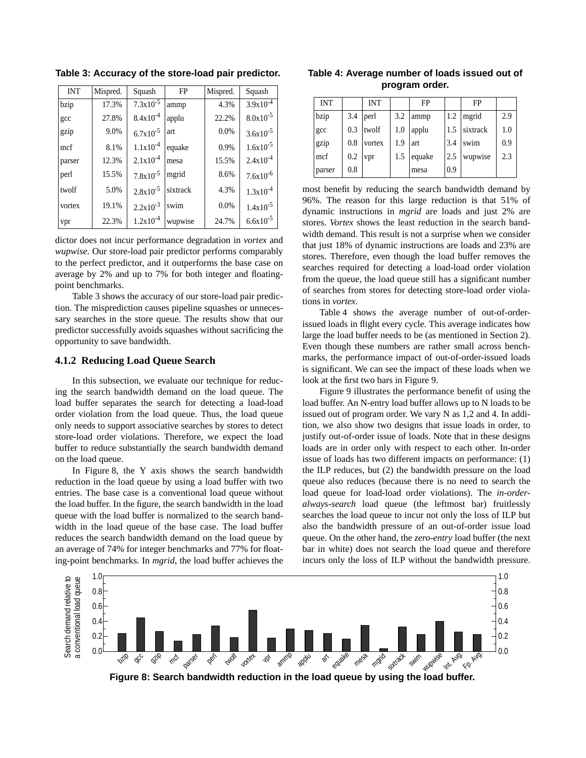| <b>INT</b> | Mispred. | Squash        | FP       | Mispred. | Squash        |
|------------|----------|---------------|----------|----------|---------------|
| bzip       | 17.3%    | $7.3x10^{-5}$ | ammp     | 4.3%     | $3.9x10^{-4}$ |
| gcc        | 27.8%    | $8.4x10^{-4}$ | applu    | 22.2%    | $8.0x10^{-5}$ |
| gzip       | 9.0%     | $6.7x10^{-5}$ | art      | 0.0%     | $3.6x10^{-5}$ |
| mcf        | 8.1%     | $1.1x10^{-4}$ | equake   | 0.9%     | $1.6x10^{-5}$ |
| parser     | 12.3%    | $2.1x10^{-4}$ | mesa     | 15.5%    | $2.4x10^{-4}$ |
| perl       | 15.5%    | $7.8x10^{-5}$ | mgrid    | 8.6%     | $7.6x10^{-6}$ |
| twolf      | 5.0%     | $2.8x10^{-5}$ | sixtrack | 4.3%     | $1.3x10^{-4}$ |
| vortex     | 19.1%    | $2.2x10^{-3}$ | swim     | 0.0%     | $1.4x10^{-5}$ |
| vpr        | 22.3%    | $1.2x10^{-4}$ | wupwise  | 24.7%    | $6.6x10^{-5}$ |

<span id="page-8-3"></span>**Table 3: Accuracy of the store-load pair predictor.**

dictor does not incur performance degradation in *vortex* and *wupwise*. Our store-load pair predictor performs comparably to the perfect predictor, and it outperforms the base case on average by 2% and up to 7% for both integer and floatingpoint benchmarks.

[Table 3](#page-8-3) shows the accuracy of our store-load pair prediction. The misprediction causes pipeline squashes or unnecessary searches in the store queue. The results show that our predictor successfully avoids squashes without sacrificing the opportunity to save bandwidth.

### <span id="page-8-0"></span>**4.1.2 Reducing Load Queue Search**

In this subsection, we evaluate our technique for reducing the search bandwidth demand on the load queue. The load buffer separates the search for detecting a load-load order violation from the load queue. Thus, the load queue only needs to support associative searches by stores to detect store-load order violations. Therefore, we expect the load buffer to reduce substantially the search bandwidth demand on the load queue.

In [Figure 8,](#page-8-1) the Y axis shows the search bandwidth reduction in the load queue by using a load buffer with two entries. The base case is a conventional load queue without the load buffer. In the figure, the search bandwidth in the load queue with the load buffer is normalized to the search bandwidth in the load queue of the base case. The load buffer reduces the search bandwidth demand on the load queue by an average of 74% for integer benchmarks and 77% for floating-point benchmarks. In *mgrid*, the load buffer achieves the

<span id="page-8-2"></span>**Table 4: Average number of loads issued out of program order.**

| <b>INT</b> |     | <b>INT</b> |     | FP     |      | FP              |     |
|------------|-----|------------|-----|--------|------|-----------------|-----|
| bzip       | 3.4 | perl       | 3.2 | ammp   | 1.2  | mgrid           | 2.9 |
| gcc        | 0.3 | twolf      | 1.0 | applu  | 1.5  | <i>sixtrack</i> | 1.0 |
| gzip       | 0.8 | vortex     | 1.9 | art    | 3.4  | <i>swim</i>     | 0.9 |
| mcf        | 0.2 | vpr        | 1.5 | equake | 2.5  | wupwise         | 2.3 |
| parser     | 0.8 |            |     | mesa   | 10.9 |                 |     |

most benefit by reducing the search bandwidth demand by 96%. The reason for this large reduction is that 51% of dynamic instructions in *mgrid* are loads and just 2% are stores. *Vortex* shows the least reduction in the search bandwidth demand. This result is not a surprise when we consider that just 18% of dynamic instructions are loads and 23% are stores. Therefore, even though the load buffer removes the searches required for detecting a load-load order violation from the queue, the load queue still has a significant number of searches from stores for detecting store-load order violations in *vortex*.

[Table 4](#page-8-2) shows the average number of out-of-orderissued loads in flight every cycle. This average indicates how large the load buffer needs to be (as mentioned in [Section 2\)](#page-1-0). Even though these numbers are rather small across benchmarks, the performance impact of out-of-order-issued loads is significant. We can see the impact of these loads when we look at the first two bars in [Figure 9.](#page-9-2)

[Figure 9](#page-9-2) illustrates the performance benefit of using the load buffer. An N-entry load buffer allows up to N loads to be issued out of program order. We vary N as 1,2 and 4. In addition, we also show two designs that issue loads in order, to justify out-of-order issue of loads. Note that in these designs loads are in order only with respect to each other. In-order issue of loads has two different impacts on performance: (1) the ILP reduces, but (2) the bandwidth pressure on the load queue also reduces (because there is no need to search the load queue for load-load order violations). The *in-orderalways-search* load queue (the leftmost bar) fruitlessly searches the load queue to incur not only the loss of ILP but also the bandwidth pressure of an out-of-order issue load queue. On the other hand, the *zero-entry* load buffer (the next bar in white) does not search the load queue and therefore incurs only the loss of ILP without the bandwidth pressure.



<span id="page-8-1"></span>**Figure 8: Search bandwidth reduction in the load queue by using the load buffer.**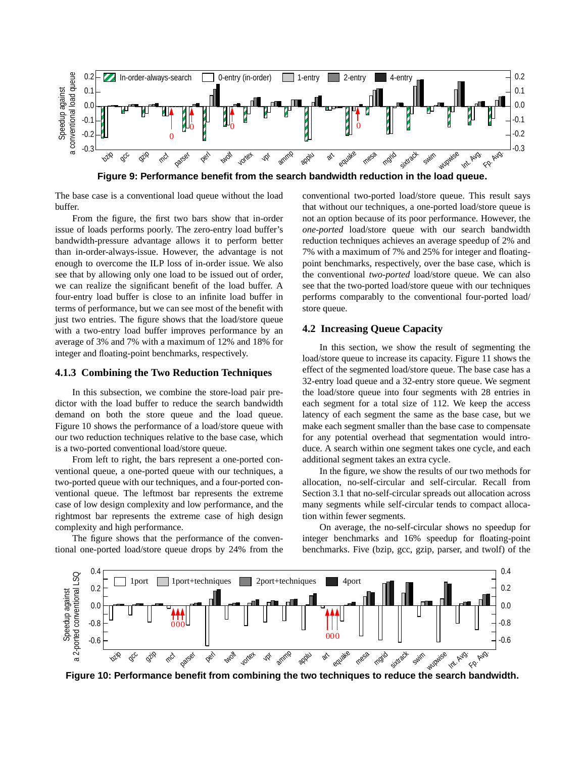

**Figure 9: Performance benefit from the search bandwidth reduction in the load queue.**

<span id="page-9-2"></span>The base case is a conventional load queue without the load buffer.

From the figure, the first two bars show that in-order issue of loads performs poorly. The zero-entry load buffer's bandwidth-pressure advantage allows it to perform better than in-order-always-issue. However, the advantage is not enough to overcome the ILP loss of in-order issue. We also see that by allowing only one load to be issued out of order, we can realize the significant benefit of the load buffer. A four-entry load buffer is close to an infinite load buffer in terms of performance, but we can see most of the benefit with just two entries. The figure shows that the load/store queue with a two-entry load buffer improves performance by an average of 3% and 7% with a maximum of 12% and 18% for integer and floating-point benchmarks, respectively.

### <span id="page-9-1"></span>**4.1.3 Combining the Two Reduction Techniques**

In this subsection, we combine the store-load pair predictor with the load buffer to reduce the search bandwidth demand on both the store queue and the load queue. [Figure 10](#page-9-3) shows the performance of a load/store queue with our two reduction techniques relative to the base case, which is a two-ported conventional load/store queue.

From left to right, the bars represent a one-ported conventional queue, a one-ported queue with our techniques, a two-ported queue with our techniques, and a four-ported conventional queue. The leftmost bar represents the extreme case of low design complexity and low performance, and the rightmost bar represents the extreme case of high design complexity and high performance.

The figure shows that the performance of the conventional one-ported load/store queue drops by 24% from the conventional two-ported load/store queue. This result says that without our techniques, a one-ported load/store queue is not an option because of its poor performance. However, the *one-ported* load/store queue with our search bandwidth reduction techniques achieves an average speedup of 2% and 7% with a maximum of 7% and 25% for integer and floatingpoint benchmarks, respectively, over the base case, which is the conventional *two-ported* load/store queue. We can also see that the two-ported load/store queue with our techniques performs comparably to the conventional four-ported load/ store queue.

# <span id="page-9-0"></span>**4.2 Increasing Queue Capacity**

In this section, we show the result of segmenting the load/store queue to increase its capacity. [Figure 11](#page-10-1) shows the effect of the segmented load/store queue. The base case has a 32-entry load queue and a 32-entry store queue. We segment the load/store queue into four segments with 28 entries in each segment for a total size of 112. We keep the access latency of each segment the same as the base case, but we make each segment smaller than the base case to compensate for any potential overhead that segmentation would introduce. A search within one segment takes one cycle, and each additional segment takes an extra cycle.

In the figure, we show the results of our two methods for allocation, no-self-circular and self-circular. Recall from [Section 3.1](#page-5-2) that no-self-circular spreads out allocation across many segments while self-circular tends to compact allocation within fewer segments.

On average, the no-self-circular shows no speedup for integer benchmarks and 16% speedup for floating-point benchmarks. Five (bzip, gcc, gzip, parser, and twolf) of the



<span id="page-9-3"></span>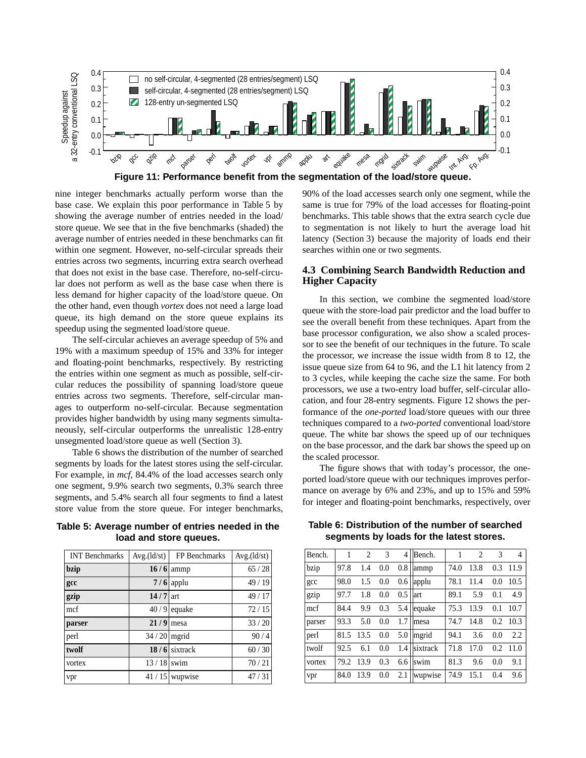

**Figure 11: Performance benefit from the segmentation of the load/store queue.**

<span id="page-10-1"></span>nine integer benchmarks actually perform worse than the base case. We explain this poor performance in [Table 5](#page-10-2) by showing the average number of entries needed in the load/ store queue. We see that in the five benchmarks (shaded) the average number of entries needed in these benchmarks can fit within one segment. However, no-self-circular spreads their entries across two segments, incurring extra search overhead that does not exist in the base case. Therefore, no-self-circular does not perform as well as the base case when there is less demand for higher capacity of the load/store queue. On the other hand, even though *vortex* does not need a large load queue, its high demand on the store queue explains its speedup using the segmented load/store queue.

The self-circular achieves an average speedup of 5% and 19% with a maximum speedup of 15% and 33% for integer and floating-point benchmarks, respectively. By restricting the entries within one segment as much as possible, self-circular reduces the possibility of spanning load/store queue entries across two segments. Therefore, self-circular manages to outperform no-self-circular. Because segmentation provides higher bandwidth by using many segments simultaneously, self-circular outperforms the unrealistic 128-entry unsegmented load/store queue as well ([Section 3\)](#page-5-0).

[Table 6](#page-10-3) shows the distribution of the number of searched segments by loads for the latest stores using the self-circular. For example, in *mcf,* 84.4% of the load accesses search only one segment, 9.9% search two segments, 0.3% search three segments, and 5.4% search all four segments to find a latest store value from the store queue. For integer benchmarks,

<span id="page-10-2"></span>**Table 5: Average number of entries needed in the load and store queues.**

| <b>INT</b> Benchmarks | Avg.(ld/st)   | FP Benchmarks   | Avg.(ld/st) |
|-----------------------|---------------|-----------------|-------------|
| bzip                  |               | $16/6$ ammp     | 65/28       |
| gcc                   | 7/6           | applu           | 49/19       |
| gzip                  | $14/7$ art    |                 | 49/17       |
| mcf                   | 40/9          | equake          | 72/15       |
| parser                | $21/9$ mesa   |                 | 33/20       |
| perl                  | $34/20$ mgrid |                 | 90/4        |
| twolf                 |               | $18/6$ sixtrack | 60/30       |
| vortex                | $13/18$ swim  |                 | 70/21       |
| vpr                   |               | $41/15$ wupwise | 47/31       |

90% of the load accesses search only one segment, while the same is true for 79% of the load accesses for floating-point benchmarks. This table shows that the extra search cycle due to segmentation is not likely to hurt the average load hit latency [\(Section 3\)](#page-5-0) because the majority of loads end their searches within one or two segments.

# <span id="page-10-0"></span>**4.3 Combining Search Bandwidth Reduction and Higher Capacity**

In this section, we combine the segmented load/store queue with the store-load pair predictor and the load buffer to see the overall benefit from these techniques. Apart from the base processor configuration, we also show a scaled processor to see the benefit of our techniques in the future. To scale the processor, we increase the issue width from 8 to 12, the issue queue size from 64 to 96, and the L1 hit latency from 2 to 3 cycles, while keeping the cache size the same. For both processors, we use a two-entry load buffer, self-circular allocation, and four 28-entry segments. [Figure 12](#page-11-1) shows the performance of the *one-ported* load/store queues with our three techniques compared to a *two-ported* conventional load/store queue. The white bar shows the speed up of our techniques on the base processor, and the dark bar shows the speed up on the scaled processor.

The figure shows that with today's processor, the oneported load/store queue with our techniques improves performance on average by 6% and 23%, and up to 15% and 59% for integer and floating-point benchmarks, respectively, over

| Bench. |      | $\overline{c}$ | 3   | 4    | Bench.   |      | $\mathfrak{D}$ | 3   | 4    |
|--------|------|----------------|-----|------|----------|------|----------------|-----|------|
| bzip   | 97.8 | 1.4            | 0.0 | 0.8  | ammp     | 74.0 | 13.8           | 0.3 | 11.9 |
| gcc    | 98.0 | 1.5            | 0.0 | 0.61 | applu    | 78.1 | 11.4           | 0.0 | 10.5 |
| gzip   | 97.7 | 1.8            | 0.0 | 0.5  | lart     | 89.1 | 5.9            | 0.1 | 4.9  |
| mcf    | 84.4 | 9.9            | 0.3 | 5.4  | lequake  | 75.3 | 13.9           | 0.1 | 10.7 |
| parser | 93.3 | 5.0            | 0.0 | 1.7  | mesa     | 74.7 | 14.8           | 0.2 | 10.3 |
| perl   | 81.5 | 13.5           | 0.0 | 5.0  | mgrid    | 94.1 | 3.6            | 0.0 | 2.2  |
| twolf  | 92.5 | 6.1            | 0.0 | 1.4  | sixtrack | 71.8 | 17.0           | 0.2 | 11.0 |
| vortex | 79.2 | 13.9           | 0.3 | 6.6  | swim     | 81.3 | 9.6            | 0.0 | 9.1  |
| vpr    | 84.0 | 13.9           | 0.0 | 2.1  | wupwise  | 74.9 | 15.1           | 0.4 | 9.6  |

<span id="page-10-3"></span>**Table 6: Distribution of the number of searched segments by loads for the latest stores.**